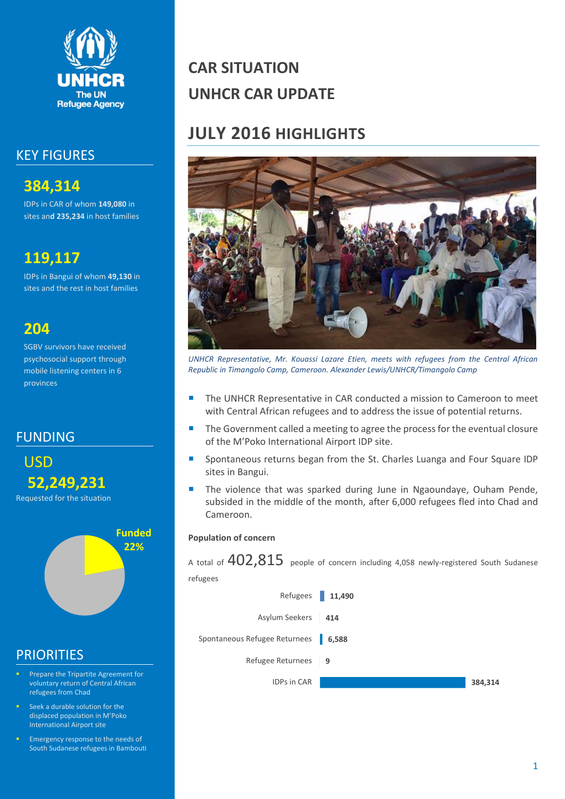

### KEY FIGURES

**384,314** IDPs in CAR of whom **149,080** in sites an**d 235,234** in host families

### **119,117**

IDPs in Bangui of whom **49,130** in sites and the rest in host families

### **204**

SGBV survivors have received psychosocial support through mobile listening centers in 6 provinces

FUNDING





### **PRIORITIES**

- Prepare the Tripartite Agreement for voluntary return of Central African refugees from Chad
- Seek a durable solution for the displaced population in M'Poko International Airport site
- Emergency response to the needs of South Sudanese refugees in Bambouti

# **CAR SITUATION UNHCR CAR UPDATE**

## **JULY 2016 HIGHLIGHTS**



*UNHCR Representative, Mr. Kouassi Lazare Etien, meets with refugees from the Central African Republic in Timangolo Camp, Cameroon. Alexander Lewis/UNHCR/Timangolo Camp*

- The UNHCR Representative in CAR conducted a mission to Cameroon to meet with Central African refugees and to address the issue of potential returns.
- The Government called a meeting to agree the process for the eventual closure of the M'Poko International Airport IDP site.
- **Spontaneous returns began from the St. Charles Luanga and Four Square IDP** sites in Bangui.
- The violence that was sparked during June in Ngaoundaye, Ouham Pende, subsided in the middle of the month, after 6,000 refugees fled into Chad and Cameroon.

#### **Population of concern**

A total of  $402,815$  people of concern including 4,058 newly-registered South Sudanese refugees

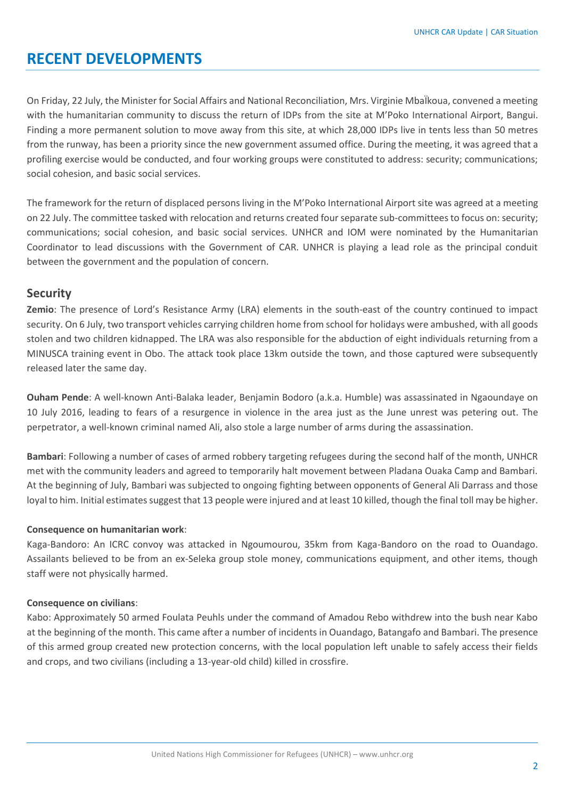### **RECENT DEVELOPMENTS**

On Friday, 22 July, the Minister for Social Affairs and National Reconciliation, Mrs. Virginie MbaÏkoua, convened a meeting with the humanitarian community to discuss the return of IDPs from the site at M'Poko International Airport, Bangui. Finding a more permanent solution to move away from this site, at which 28,000 IDPs live in tents less than 50 metres from the runway, has been a priority since the new government assumed office. During the meeting, it was agreed that a profiling exercise would be conducted, and four working groups were constituted to address: security; communications; social cohesion, and basic social services.

The framework for the return of displaced persons living in the M'Poko International Airport site was agreed at a meeting on 22 July. The committee tasked with relocation and returns created four separate sub-committees to focus on: security; communications; social cohesion, and basic social services. UNHCR and IOM were nominated by the Humanitarian Coordinator to lead discussions with the Government of CAR. UNHCR is playing a lead role as the principal conduit between the government and the population of concern.

#### **Security**

**Zemio**: The presence of Lord's Resistance Army (LRA) elements in the south-east of the country continued to impact security. On 6 July, two transport vehicles carrying children home from school for holidays were ambushed, with all goods stolen and two children kidnapped. The LRA was also responsible for the abduction of eight individuals returning from a MINUSCA training event in Obo. The attack took place 13km outside the town, and those captured were subsequently released later the same day.

**Ouham Pende**: A well-known Anti-Balaka leader, Benjamin Bodoro (a.k.a. Humble) was assassinated in Ngaoundaye on 10 July 2016, leading to fears of a resurgence in violence in the area just as the June unrest was petering out. The perpetrator, a well-known criminal named Ali, also stole a large number of arms during the assassination.

**Bambari**: Following a number of cases of armed robbery targeting refugees during the second half of the month, UNHCR met with the community leaders and agreed to temporarily halt movement between Pladana Ouaka Camp and Bambari. At the beginning of July, Bambari was subjected to ongoing fighting between opponents of General Ali Darrass and those loyal to him. Initial estimates suggest that 13 people were injured and at least 10 killed, though the final toll may be higher.

#### **Consequence on humanitarian work**:

Kaga-Bandoro: An ICRC convoy was attacked in Ngoumourou, 35km from Kaga-Bandoro on the road to Ouandago. Assailants believed to be from an ex-Seleka group stole money, communications equipment, and other items, though staff were not physically harmed.

#### **Consequence on civilians**:

Kabo: Approximately 50 armed Foulata Peuhls under the command of Amadou Rebo withdrew into the bush near Kabo at the beginning of the month. This came after a number of incidents in Ouandago, Batangafo and Bambari. The presence of this armed group created new protection concerns, with the local population left unable to safely access their fields and crops, and two civilians (including a 13-year-old child) killed in crossfire.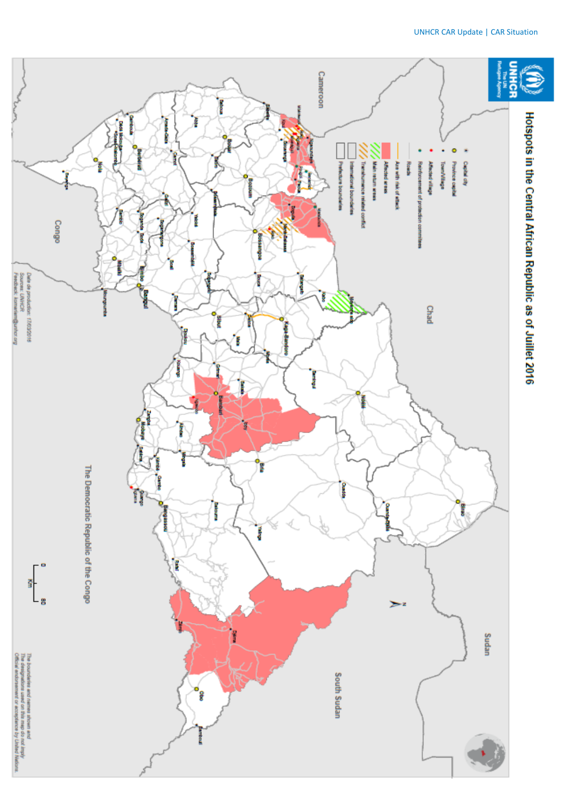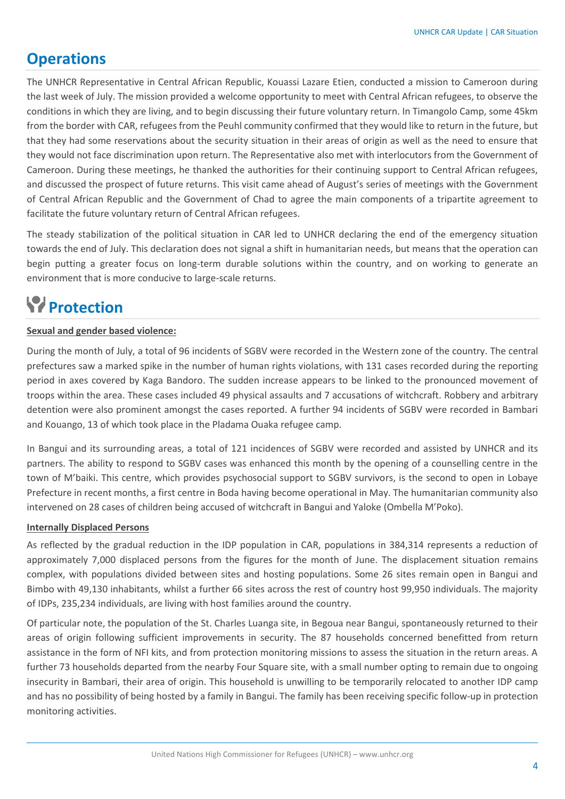### **Operations**

The UNHCR Representative in Central African Republic, Kouassi Lazare Etien, conducted a mission to Cameroon during the last week of July. The mission provided a welcome opportunity to meet with Central African refugees, to observe the conditions in which they are living, and to begin discussing their future voluntary return. In Timangolo Camp, some 45km from the border with CAR, refugees from the Peuhl community confirmed that they would like to return in the future, but that they had some reservations about the security situation in their areas of origin as well as the need to ensure that they would not face discrimination upon return. The Representative also met with interlocutors from the Government of Cameroon. During these meetings, he thanked the authorities for their continuing support to Central African refugees, and discussed the prospect of future returns. This visit came ahead of August's series of meetings with the Government of Central African Republic and the Government of Chad to agree the main components of a tripartite agreement to facilitate the future voluntary return of Central African refugees.

The steady stabilization of the political situation in CAR led to UNHCR declaring the end of the emergency situation towards the end of July. This declaration does not signal a shift in humanitarian needs, but means that the operation can begin putting a greater focus on long-term durable solutions within the country, and on working to generate an environment that is more conducive to large-scale returns.

# **Protection**

#### **Sexual and gender based violence:**

During the month of July, a total of 96 incidents of SGBV were recorded in the Western zone of the country. The central prefectures saw a marked spike in the number of human rights violations, with 131 cases recorded during the reporting period in axes covered by Kaga Bandoro. The sudden increase appears to be linked to the pronounced movement of troops within the area. These cases included 49 physical assaults and 7 accusations of witchcraft. Robbery and arbitrary detention were also prominent amongst the cases reported. A further 94 incidents of SGBV were recorded in Bambari and Kouango, 13 of which took place in the Pladama Ouaka refugee camp.

In Bangui and its surrounding areas, a total of 121 incidences of SGBV were recorded and assisted by UNHCR and its partners. The ability to respond to SGBV cases was enhanced this month by the opening of a counselling centre in the town of M'baiki. This centre, which provides psychosocial support to SGBV survivors, is the second to open in Lobaye Prefecture in recent months, a first centre in Boda having become operational in May. The humanitarian community also intervened on 28 cases of children being accused of witchcraft in Bangui and Yaloke (Ombella M'Poko).

#### **Internally Displaced Persons**

As reflected by the gradual reduction in the IDP population in CAR, populations in 384,314 represents a reduction of approximately 7,000 displaced persons from the figures for the month of June. The displacement situation remains complex, with populations divided between sites and hosting populations. Some 26 sites remain open in Bangui and Bimbo with 49,130 inhabitants, whilst a further 66 sites across the rest of country host 99,950 individuals. The majority of IDPs, 235,234 individuals, are living with host families around the country.

Of particular note, the population of the St. Charles Luanga site, in Begoua near Bangui, spontaneously returned to their areas of origin following sufficient improvements in security. The 87 households concerned benefitted from return assistance in the form of NFI kits, and from protection monitoring missions to assess the situation in the return areas. A further 73 households departed from the nearby Four Square site, with a small number opting to remain due to ongoing insecurity in Bambari, their area of origin. This household is unwilling to be temporarily relocated to another IDP camp and has no possibility of being hosted by a family in Bangui. The family has been receiving specific follow-up in protection monitoring activities.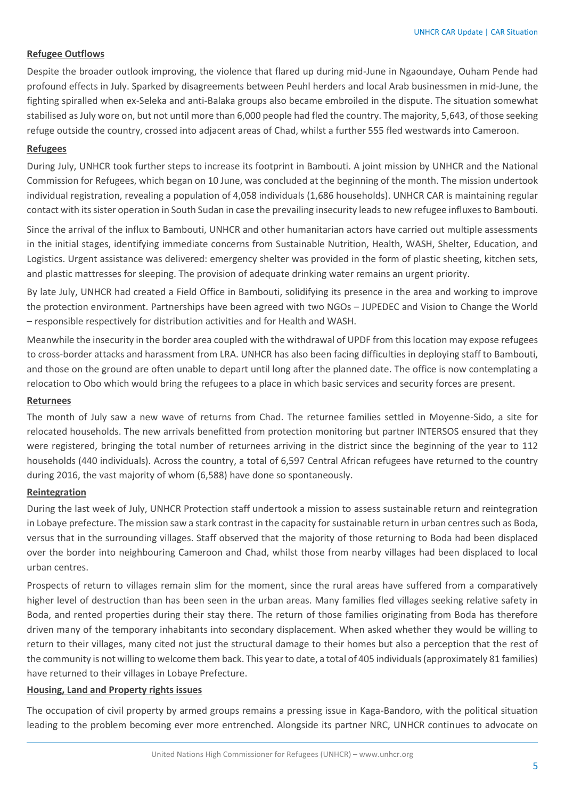#### **Refugee Outflows**

Despite the broader outlook improving, the violence that flared up during mid-June in Ngaoundaye, Ouham Pende had profound effects in July. Sparked by disagreements between Peuhl herders and local Arab businessmen in mid-June, the fighting spiralled when ex-Seleka and anti-Balaka groups also became embroiled in the dispute. The situation somewhat stabilised as July wore on, but not until more than 6,000 people had fled the country. The majority, 5,643, of those seeking refuge outside the country, crossed into adjacent areas of Chad, whilst a further 555 fled westwards into Cameroon.

#### **Refugees**

During July, UNHCR took further steps to increase its footprint in Bambouti. A joint mission by UNHCR and the National Commission for Refugees, which began on 10 June, was concluded at the beginning of the month. The mission undertook individual registration, revealing a population of 4,058 individuals (1,686 households). UNHCR CAR is maintaining regular contact with its sister operation in South Sudan in case the prevailing insecurity leads to new refugee influxes to Bambouti.

Since the arrival of the influx to Bambouti, UNHCR and other humanitarian actors have carried out multiple assessments in the initial stages, identifying immediate concerns from Sustainable Nutrition, Health, WASH, Shelter, Education, and Logistics. Urgent assistance was delivered: emergency shelter was provided in the form of plastic sheeting, kitchen sets, and plastic mattresses for sleeping. The provision of adequate drinking water remains an urgent priority.

By late July, UNHCR had created a Field Office in Bambouti, solidifying its presence in the area and working to improve the protection environment. Partnerships have been agreed with two NGOs – JUPEDEC and Vision to Change the World – responsible respectively for distribution activities and for Health and WASH.

Meanwhile the insecurity in the border area coupled with the withdrawal of UPDF from this location may expose refugees to cross-border attacks and harassment from LRA. UNHCR has also been facing difficulties in deploying staff to Bambouti, and those on the ground are often unable to depart until long after the planned date. The office is now contemplating a relocation to Obo which would bring the refugees to a place in which basic services and security forces are present.

#### **Returnees**

The month of July saw a new wave of returns from Chad. The returnee families settled in Moyenne-Sido, a site for relocated households. The new arrivals benefitted from protection monitoring but partner INTERSOS ensured that they were registered, bringing the total number of returnees arriving in the district since the beginning of the year to 112 households (440 individuals). Across the country, a total of 6,597 Central African refugees have returned to the country during 2016, the vast majority of whom (6,588) have done so spontaneously.

#### **Reintegration**

During the last week of July, UNHCR Protection staff undertook a mission to assess sustainable return and reintegration in Lobaye prefecture. The mission saw a stark contrast in the capacity for sustainable return in urban centres such as Boda, versus that in the surrounding villages. Staff observed that the majority of those returning to Boda had been displaced over the border into neighbouring Cameroon and Chad, whilst those from nearby villages had been displaced to local urban centres.

Prospects of return to villages remain slim for the moment, since the rural areas have suffered from a comparatively higher level of destruction than has been seen in the urban areas. Many families fled villages seeking relative safety in Boda, and rented properties during their stay there. The return of those families originating from Boda has therefore driven many of the temporary inhabitants into secondary displacement. When asked whether they would be willing to return to their villages, many cited not just the structural damage to their homes but also a perception that the rest of the community is not willing to welcome them back. This year to date, a total of 405 individuals (approximately 81 families) have returned to their villages in Lobaye Prefecture.

#### **Housing, Land and Property rights issues**

The occupation of civil property by armed groups remains a pressing issue in Kaga-Bandoro, with the political situation leading to the problem becoming ever more entrenched. Alongside its partner NRC, UNHCR continues to advocate on